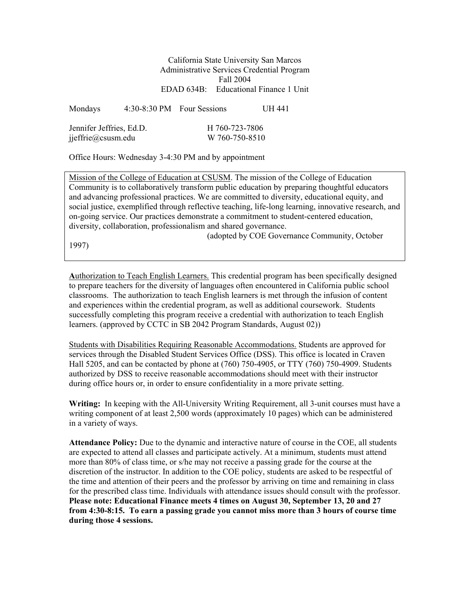California State University San Marcos Administrative Services Credential Program Fall 2004 EDAD 634B: Educational Finance 1 Unit

| Mondays                  |  | 4:30-8:30 PM Four Sessions | UH 441 |  |
|--------------------------|--|----------------------------|--------|--|
| Jennifer Jeffries, Ed.D. |  | H 760-723-7806             |        |  |
| jjeffrie@csusm.edu       |  | W 760-750-8510             |        |  |

Office Hours: Wednesday 3-4:30 PM and by appointment

Mission of the College of Education at CSUSM. The mission of the College of Education Community is to collaboratively transform public education by preparing thoughtful educators and advancing professional practices. We are committed to diversity, educational equity, and social justice, exemplified through reflective teaching, life-long learning, innovative research, and on-going service. Our practices demonstrate a commitment to student-centered education, diversity, collaboration, professionalism and shared governance.

(adopted by COE Governance Community, October

1997)

**A**uthorization to Teach English Learners. This credential program has been specifically designed to prepare teachers for the diversity of languages often encountered in California public school classrooms. The authorization to teach English learners is met through the infusion of content and experiences within the credential program, as well as additional coursework. Students successfully completing this program receive a credential with authorization to teach English

Students with Disabilities Requiring Reasonable Accommodations. Students are approved for services through the Disabled Student Services Office (DSS). This office is located in Craven Hall 5205, and can be contacted by phone at (760) 750-4905, or TTY (760) 750-4909. Students authorized by DSS to receive reasonable accommodations should meet with their instructor during office hours or, in order to ensure confidentiality in a more private setting.

learners. (approved by CCTC in SB 2042 Program Standards, August 02))

**Writing:** In keeping with the All-University Writing Requirement, all 3-unit courses must have a writing component of at least 2,500 words (approximately 10 pages) which can be administered in a variety of ways.

**Attendance Policy:** Due to the dynamic and interactive nature of course in the COE, all students are expected to attend all classes and participate actively. At a minimum, students must attend more than 80% of class time, or s/he may not receive a passing grade for the course at the discretion of the instructor. In addition to the COE policy, students are asked to be respectful of the time and attention of their peers and the professor by arriving on time and remaining in class for the prescribed class time. Individuals with attendance issues should consult with the professor. **Please note: Educational Finance meets 4 times on August 30, September 13, 20 and 27 from 4:30-8:15. To earn a passing grade you cannot miss more than 3 hours of course time during those 4 sessions.**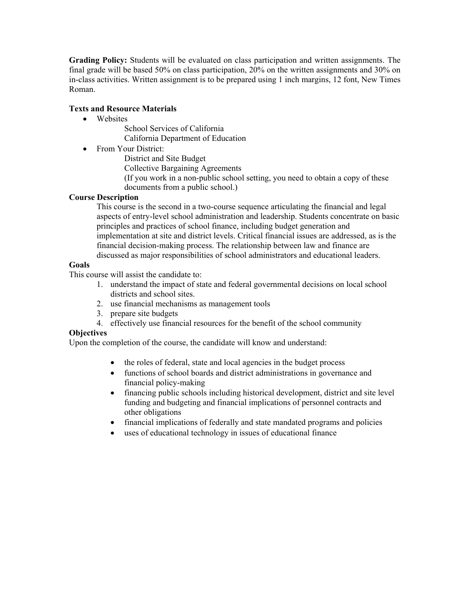**Grading Policy:** Students will be evaluated on class participation and written assignments. The final grade will be based 50% on class participation, 20% on the written assignments and 30% on in-class activities. Written assignment is to be prepared using 1 inch margins, 12 font, New Times Roman.

#### **Texts and Resource Materials**

- Websites
	- School Services of California California Department of Education
- From Your District:
	- District and Site Budget
	- Collective Bargaining Agreements
	- (If you work in a non-public school setting, you need to obtain a copy of these documents from a public school.)

#### **Course Description**

This course is the second in a two-course sequence articulating the financial and legal aspects of entry-level school administration and leadership. Students concentrate on basic principles and practices of school finance, including budget generation and implementation at site and district levels. Critical financial issues are addressed, as is the financial decision-making process. The relationship between law and finance are discussed as major responsibilities of school administrators and educational leaders.

#### **Goals**

This course will assist the candidate to:

- 1. understand the impact of state and federal governmental decisions on local school districts and school sites.
- 2. use financial mechanisms as management tools
- 3. prepare site budgets
- 4. effectively use financial resources for the benefit of the school community

#### **Objectives**

Upon the completion of the course, the candidate will know and understand:

- the roles of federal, state and local agencies in the budget process
- functions of school boards and district administrations in governance and financial policy-making
- financing public schools including historical development, district and site level funding and budgeting and financial implications of personnel contracts and other obligations
- financial implications of federally and state mandated programs and policies
- uses of educational technology in issues of educational finance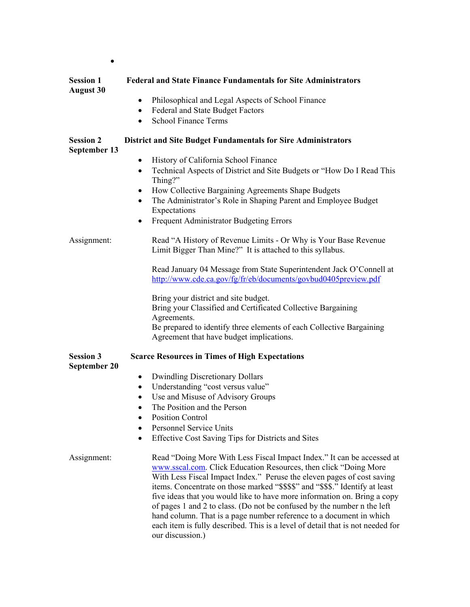| <b>Session 1</b><br><b>August 30</b>    | <b>Federal and State Finance Fundamentals for Site Administrators</b>                                                                                                                                                                                                                                                                                                                                                                                                                                                                                                                                                                     |  |  |  |  |  |
|-----------------------------------------|-------------------------------------------------------------------------------------------------------------------------------------------------------------------------------------------------------------------------------------------------------------------------------------------------------------------------------------------------------------------------------------------------------------------------------------------------------------------------------------------------------------------------------------------------------------------------------------------------------------------------------------------|--|--|--|--|--|
|                                         | Philosophical and Legal Aspects of School Finance<br>٠                                                                                                                                                                                                                                                                                                                                                                                                                                                                                                                                                                                    |  |  |  |  |  |
|                                         | Federal and State Budget Factors<br>٠                                                                                                                                                                                                                                                                                                                                                                                                                                                                                                                                                                                                     |  |  |  |  |  |
|                                         | <b>School Finance Terms</b><br>$\bullet$                                                                                                                                                                                                                                                                                                                                                                                                                                                                                                                                                                                                  |  |  |  |  |  |
| <b>Session 2</b><br>September 13        | <b>District and Site Budget Fundamentals for Sire Administrators</b>                                                                                                                                                                                                                                                                                                                                                                                                                                                                                                                                                                      |  |  |  |  |  |
|                                         | History of California School Finance<br>$\bullet$                                                                                                                                                                                                                                                                                                                                                                                                                                                                                                                                                                                         |  |  |  |  |  |
|                                         | Technical Aspects of District and Site Budgets or "How Do I Read This<br>$\bullet$<br>Thing?"                                                                                                                                                                                                                                                                                                                                                                                                                                                                                                                                             |  |  |  |  |  |
|                                         | How Collective Bargaining Agreements Shape Budgets<br>٠                                                                                                                                                                                                                                                                                                                                                                                                                                                                                                                                                                                   |  |  |  |  |  |
|                                         | The Administrator's Role in Shaping Parent and Employee Budget<br>٠                                                                                                                                                                                                                                                                                                                                                                                                                                                                                                                                                                       |  |  |  |  |  |
|                                         | Expectations                                                                                                                                                                                                                                                                                                                                                                                                                                                                                                                                                                                                                              |  |  |  |  |  |
|                                         | Frequent Administrator Budgeting Errors<br>٠                                                                                                                                                                                                                                                                                                                                                                                                                                                                                                                                                                                              |  |  |  |  |  |
| Assignment:                             | Read "A History of Revenue Limits - Or Why is Your Base Revenue<br>Limit Bigger Than Mine?" It is attached to this syllabus.                                                                                                                                                                                                                                                                                                                                                                                                                                                                                                              |  |  |  |  |  |
|                                         | Read January 04 Message from State Superintendent Jack O'Connell at<br>http://www.cde.ca.gov/fg/fr/eb/documents/govbud0405preview.pdf                                                                                                                                                                                                                                                                                                                                                                                                                                                                                                     |  |  |  |  |  |
|                                         | Bring your district and site budget.<br>Bring your Classified and Certificated Collective Bargaining                                                                                                                                                                                                                                                                                                                                                                                                                                                                                                                                      |  |  |  |  |  |
|                                         | Agreements.<br>Be prepared to identify three elements of each Collective Bargaining<br>Agreement that have budget implications.                                                                                                                                                                                                                                                                                                                                                                                                                                                                                                           |  |  |  |  |  |
| <b>Session 3</b><br><b>September 20</b> | <b>Scarce Resources in Times of High Expectations</b>                                                                                                                                                                                                                                                                                                                                                                                                                                                                                                                                                                                     |  |  |  |  |  |
|                                         | <b>Dwindling Discretionary Dollars</b><br>٠                                                                                                                                                                                                                                                                                                                                                                                                                                                                                                                                                                                               |  |  |  |  |  |
|                                         | Understanding "cost versus value"<br>$\bullet$                                                                                                                                                                                                                                                                                                                                                                                                                                                                                                                                                                                            |  |  |  |  |  |
|                                         | Use and Misuse of Advisory Groups<br>$\bullet$                                                                                                                                                                                                                                                                                                                                                                                                                                                                                                                                                                                            |  |  |  |  |  |
|                                         | The Position and the Person                                                                                                                                                                                                                                                                                                                                                                                                                                                                                                                                                                                                               |  |  |  |  |  |
|                                         | <b>Position Control</b>                                                                                                                                                                                                                                                                                                                                                                                                                                                                                                                                                                                                                   |  |  |  |  |  |
|                                         | <b>Personnel Service Units</b><br>$\bullet$                                                                                                                                                                                                                                                                                                                                                                                                                                                                                                                                                                                               |  |  |  |  |  |
|                                         | Effective Cost Saving Tips for Districts and Sites<br>$\bullet$                                                                                                                                                                                                                                                                                                                                                                                                                                                                                                                                                                           |  |  |  |  |  |
| Assignment:                             | Read "Doing More With Less Fiscal Impact Index." It can be accessed at<br>www.sscal.com. Click Education Resources, then click "Doing More<br>With Less Fiscal Impact Index." Peruse the eleven pages of cost saving<br>items. Concentrate on those marked "\$\$\$\$" and "\$\$\$." Identify at least<br>five ideas that you would like to have more information on. Bring a copy<br>of pages 1 and 2 to class. (Do not be confused by the number n the left<br>hand column. That is a page number reference to a document in which<br>each item is fully described. This is a level of detail that is not needed for<br>our discussion.) |  |  |  |  |  |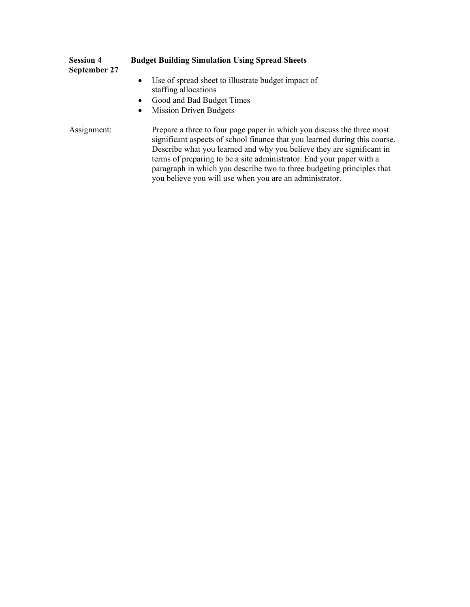| <b>Session 4</b><br>September 27 | <b>Budget Building Simulation Using Spread Sheets</b>                                                                                                                                                                                                                                                                                                                           |  |  |  |
|----------------------------------|---------------------------------------------------------------------------------------------------------------------------------------------------------------------------------------------------------------------------------------------------------------------------------------------------------------------------------------------------------------------------------|--|--|--|
|                                  | Use of spread sheet to illustrate budget impact of<br>$\bullet$<br>staffing allocations<br>Good and Bad Budget Times<br>$\bullet$<br><b>Mission Driven Budgets</b><br>$\bullet$                                                                                                                                                                                                 |  |  |  |
| Assignment:                      | Prepare a three to four page paper in which you discuss the three most<br>significant aspects of school finance that you learned during this course.<br>Describe what you learned and why you believe they are significant in<br>terms of preparing to be a site administrator. End your paper with a<br>paragraph in which you describe two to three budgeting principles that |  |  |  |

you believe you will use when you are an administrator.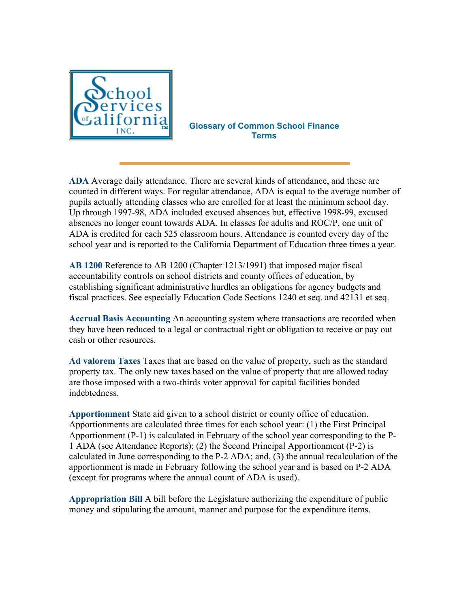

**Glossary of Common School Finance Terms**

**ADA** Average daily attendance. There are several kinds of attendance, and these are counted in different ways. For regular attendance, ADA is equal to the average number of pupils actually attending classes who are enrolled for at least the minimum school day. Up through 1997-98, ADA included excused absences but, effective 1998-99, excused absences no longer count towards ADA. In classes for adults and ROC/P, one unit of ADA is credited for each 525 classroom hours. Attendance is counted every day of the school year and is reported to the California Department of Education three times a year.

**AB 1200** Reference to AB 1200 (Chapter 1213/1991) that imposed major fiscal accountability controls on school districts and county offices of education, by establishing significant administrative hurdles an obligations for agency budgets and fiscal practices. See especially Education Code Sections 1240 et seq. and 42131 et seq.

**Accrual Basis Accounting** An accounting system where transactions are recorded when they have been reduced to a legal or contractual right or obligation to receive or pay out cash or other resources.

**Ad valorem Taxes** Taxes that are based on the value of property, such as the standard property tax. The only new taxes based on the value of property that are allowed today are those imposed with a two-thirds voter approval for capital facilities bonded indebtedness.

**Apportionment** State aid given to a school district or county office of education. Apportionments are calculated three times for each school year: (1) the First Principal Apportionment (P-1) is calculated in February of the school year corresponding to the P-1 ADA (see Attendance Reports); (2) the Second Principal Apportionment (P-2) is calculated in June corresponding to the P-2 ADA; and, (3) the annual recalculation of the apportionment is made in February following the school year and is based on P-2 ADA (except for programs where the annual count of ADA is used).

**Appropriation Bill** A bill before the Legislature authorizing the expenditure of public money and stipulating the amount, manner and purpose for the expenditure items.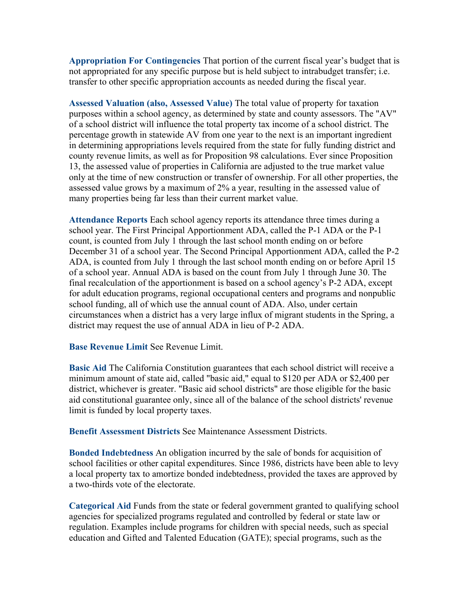**Appropriation For Contingencies** That portion of the current fiscal year's budget that is not appropriated for any specific purpose but is held subject to intrabudget transfer; i.e. transfer to other specific appropriation accounts as needed during the fiscal year.

**Assessed Valuation (also, Assessed Value)** The total value of property for taxation purposes within a school agency, as determined by state and county assessors. The "AV" of a school district will influence the total property tax income of a school district. The percentage growth in statewide AV from one year to the next is an important ingredient in determining appropriations levels required from the state for fully funding district and county revenue limits, as well as for Proposition 98 calculations. Ever since Proposition 13, the assessed value of properties in California are adjusted to the true market value only at the time of new construction or transfer of ownership. For all other properties, the assessed value grows by a maximum of 2% a year, resulting in the assessed value of many properties being far less than their current market value.

**Attendance Reports** Each school agency reports its attendance three times during a school year. The First Principal Apportionment ADA, called the P-1 ADA or the P-1 count, is counted from July 1 through the last school month ending on or before December 31 of a school year. The Second Principal Apportionment ADA, called the P-2 ADA, is counted from July 1 through the last school month ending on or before April 15 of a school year. Annual ADA is based on the count from July 1 through June 30. The final recalculation of the apportionment is based on a school agency's P-2 ADA, except for adult education programs, regional occupational centers and programs and nonpublic school funding, all of which use the annual count of ADA. Also, under certain circumstances when a district has a very large influx of migrant students in the Spring, a district may request the use of annual ADA in lieu of P-2 ADA.

**Base Revenue Limit** See Revenue Limit.

**Basic Aid** The California Constitution guarantees that each school district will receive a minimum amount of state aid, called "basic aid," equal to \$120 per ADA or \$2,400 per district, whichever is greater. "Basic aid school districts" are those eligible for the basic aid constitutional guarantee only, since all of the balance of the school districts' revenue limit is funded by local property taxes.

**Benefit Assessment Districts** See Maintenance Assessment Districts.

**Bonded Indebtedness** An obligation incurred by the sale of bonds for acquisition of school facilities or other capital expenditures. Since 1986, districts have been able to levy a local property tax to amortize bonded indebtedness, provided the taxes are approved by a two-thirds vote of the electorate.

**Categorical Aid** Funds from the state or federal government granted to qualifying school agencies for specialized programs regulated and controlled by federal or state law or regulation. Examples include programs for children with special needs, such as special education and Gifted and Talented Education (GATE); special programs, such as the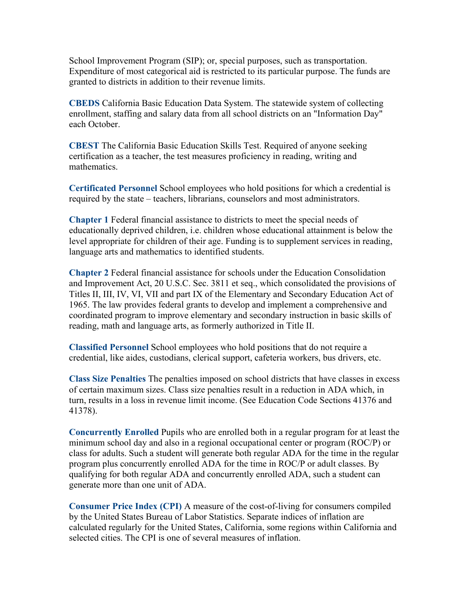School Improvement Program (SIP); or, special purposes, such as transportation. Expenditure of most categorical aid is restricted to its particular purpose. The funds are granted to districts in addition to their revenue limits.

**CBEDS** California Basic Education Data System. The statewide system of collecting enrollment, staffing and salary data from all school districts on an "Information Day" each October.

**CBEST** The California Basic Education Skills Test. Required of anyone seeking certification as a teacher, the test measures proficiency in reading, writing and mathematics.

**Certificated Personnel** School employees who hold positions for which a credential is required by the state – teachers, librarians, counselors and most administrators.

**Chapter 1** Federal financial assistance to districts to meet the special needs of educationally deprived children, i.e. children whose educational attainment is below the level appropriate for children of their age. Funding is to supplement services in reading, language arts and mathematics to identified students.

**Chapter 2** Federal financial assistance for schools under the Education Consolidation and Improvement Act, 20 U.S.C. Sec. 3811 et seq., which consolidated the provisions of Titles II, III, IV, VI, VII and part IX of the Elementary and Secondary Education Act of 1965. The law provides federal grants to develop and implement a comprehensive and coordinated program to improve elementary and secondary instruction in basic skills of reading, math and language arts, as formerly authorized in Title II.

**Classified Personnel** School employees who hold positions that do not require a credential, like aides, custodians, clerical support, cafeteria workers, bus drivers, etc.

**Class Size Penalties** The penalties imposed on school districts that have classes in excess of certain maximum sizes. Class size penalties result in a reduction in ADA which, in turn, results in a loss in revenue limit income. (See Education Code Sections 41376 and 41378).

**Concurrently Enrolled** Pupils who are enrolled both in a regular program for at least the minimum school day and also in a regional occupational center or program (ROC/P) or class for adults. Such a student will generate both regular ADA for the time in the regular program plus concurrently enrolled ADA for the time in ROC/P or adult classes. By qualifying for both regular ADA and concurrently enrolled ADA, such a student can generate more than one unit of ADA.

**Consumer Price Index (CPI)** A measure of the cost-of-living for consumers compiled by the United States Bureau of Labor Statistics. Separate indices of inflation are calculated regularly for the United States, California, some regions within California and selected cities. The CPI is one of several measures of inflation.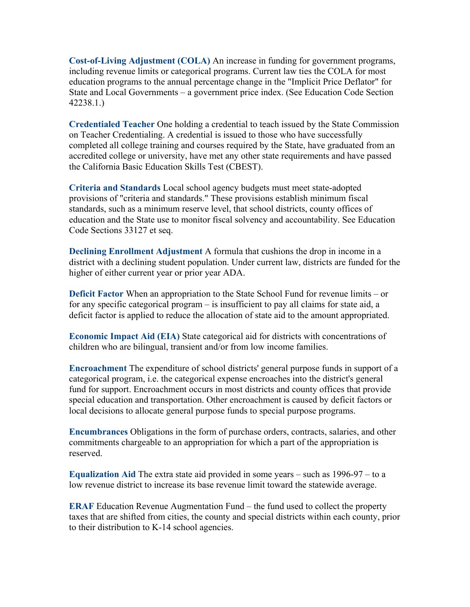**Cost-of-Living Adjustment (COLA)** An increase in funding for government programs, including revenue limits or categorical programs. Current law ties the COLA for most education programs to the annual percentage change in the "Implicit Price Deflator" for State and Local Governments – a government price index. (See Education Code Section 42238.1.)

**Credentialed Teacher** One holding a credential to teach issued by the State Commission on Teacher Credentialing. A credential is issued to those who have successfully completed all college training and courses required by the State, have graduated from an accredited college or university, have met any other state requirements and have passed the California Basic Education Skills Test (CBEST).

**Criteria and Standards** Local school agency budgets must meet state-adopted provisions of "criteria and standards." These provisions establish minimum fiscal standards, such as a minimum reserve level, that school districts, county offices of education and the State use to monitor fiscal solvency and accountability. See Education Code Sections 33127 et seq.

**Declining Enrollment Adjustment** A formula that cushions the drop in income in a district with a declining student population. Under current law, districts are funded for the higher of either current year or prior year ADA.

**Deficit Factor** When an appropriation to the State School Fund for revenue limits – or for any specific categorical program – is insufficient to pay all claims for state aid, a deficit factor is applied to reduce the allocation of state aid to the amount appropriated.

**Economic Impact Aid (EIA)** State categorical aid for districts with concentrations of children who are bilingual, transient and/or from low income families.

**Encroachment** The expenditure of school districts' general purpose funds in support of a categorical program, i.e. the categorical expense encroaches into the district's general fund for support. Encroachment occurs in most districts and county offices that provide special education and transportation. Other encroachment is caused by deficit factors or local decisions to allocate general purpose funds to special purpose programs.

**Encumbrances** Obligations in the form of purchase orders, contracts, salaries, and other commitments chargeable to an appropriation for which a part of the appropriation is reserved.

**Equalization Aid** The extra state aid provided in some years – such as 1996-97 – to a low revenue district to increase its base revenue limit toward the statewide average.

**ERAF** Education Revenue Augmentation Fund – the fund used to collect the property taxes that are shifted from cities, the county and special districts within each county, prior to their distribution to K-14 school agencies.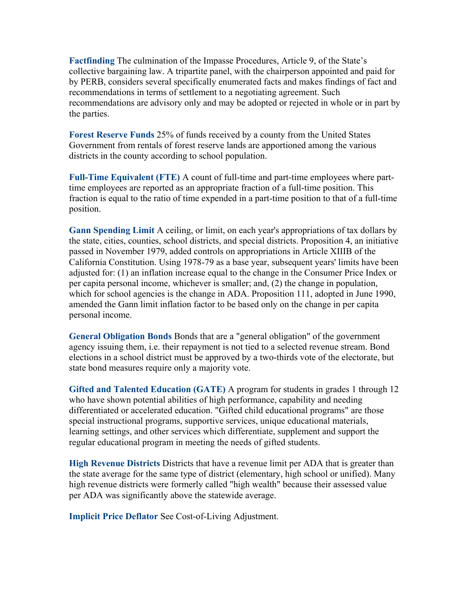**Factfinding** The culmination of the Impasse Procedures, Article 9, of the State's collective bargaining law. A tripartite panel, with the chairperson appointed and paid for by PERB, considers several specifically enumerated facts and makes findings of fact and recommendations in terms of settlement to a negotiating agreement. Such recommendations are advisory only and may be adopted or rejected in whole or in part by the parties.

**Forest Reserve Funds** 25% of funds received by a county from the United States Government from rentals of forest reserve lands are apportioned among the various districts in the county according to school population.

**Full-Time Equivalent (FTE)** A count of full-time and part-time employees where parttime employees are reported as an appropriate fraction of a full-time position. This fraction is equal to the ratio of time expended in a part-time position to that of a full-time position.

**Gann Spending Limit** A ceiling, or limit, on each year's appropriations of tax dollars by the state, cities, counties, school districts, and special districts. Proposition 4, an initiative passed in November 1979, added controls on appropriations in Article XIIIB of the California Constitution. Using 1978-79 as a base year, subsequent years' limits have been adjusted for: (1) an inflation increase equal to the change in the Consumer Price Index or per capita personal income, whichever is smaller; and, (2) the change in population, which for school agencies is the change in ADA. Proposition 111, adopted in June 1990, amended the Gann limit inflation factor to be based only on the change in per capita personal income.

**General Obligation Bonds** Bonds that are a "general obligation" of the government agency issuing them, i.e. their repayment is not tied to a selected revenue stream. Bond elections in a school district must be approved by a two-thirds vote of the electorate, but state bond measures require only a majority vote.

**Gifted and Talented Education (GATE)** A program for students in grades 1 through 12 who have shown potential abilities of high performance, capability and needing differentiated or accelerated education. "Gifted child educational programs" are those special instructional programs, supportive services, unique educational materials, learning settings, and other services which differentiate, supplement and support the regular educational program in meeting the needs of gifted students.

**High Revenue Districts** Districts that have a revenue limit per ADA that is greater than the state average for the same type of district (elementary, high school or unified). Many high revenue districts were formerly called "high wealth" because their assessed value per ADA was significantly above the statewide average.

**Implicit Price Deflator** See Cost-of-Living Adjustment.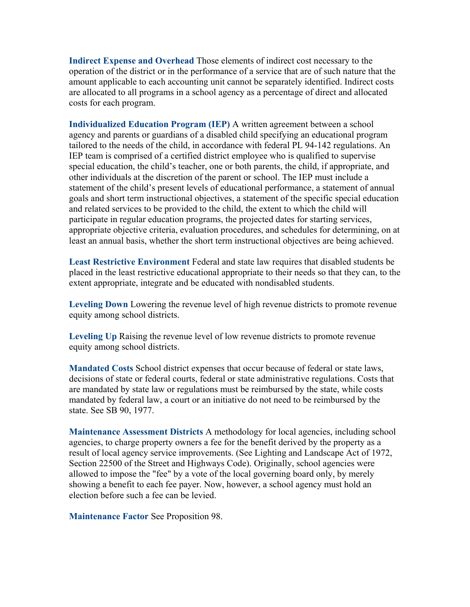**Indirect Expense and Overhead** Those elements of indirect cost necessary to the operation of the district or in the performance of a service that are of such nature that the amount applicable to each accounting unit cannot be separately identified. Indirect costs are allocated to all programs in a school agency as a percentage of direct and allocated costs for each program.

**Individualized Education Program (IEP)** A written agreement between a school agency and parents or guardians of a disabled child specifying an educational program tailored to the needs of the child, in accordance with federal PL 94-142 regulations. An IEP team is comprised of a certified district employee who is qualified to supervise special education, the child's teacher, one or both parents, the child, if appropriate, and other individuals at the discretion of the parent or school. The IEP must include a statement of the child's present levels of educational performance, a statement of annual goals and short term instructional objectives, a statement of the specific special education and related services to be provided to the child, the extent to which the child will participate in regular education programs, the projected dates for starting services, appropriate objective criteria, evaluation procedures, and schedules for determining, on at least an annual basis, whether the short term instructional objectives are being achieved.

**Least Restrictive Environment** Federal and state law requires that disabled students be placed in the least restrictive educational appropriate to their needs so that they can, to the extent appropriate, integrate and be educated with nondisabled students.

**Leveling Down** Lowering the revenue level of high revenue districts to promote revenue equity among school districts.

**Leveling Up** Raising the revenue level of low revenue districts to promote revenue equity among school districts.

**Mandated Costs** School district expenses that occur because of federal or state laws, decisions of state or federal courts, federal or state administrative regulations. Costs that are mandated by state law or regulations must be reimbursed by the state, while costs mandated by federal law, a court or an initiative do not need to be reimbursed by the state. See SB 90, 1977.

**Maintenance Assessment Districts** A methodology for local agencies, including school agencies, to charge property owners a fee for the benefit derived by the property as a result of local agency service improvements. (See Lighting and Landscape Act of 1972, Section 22500 of the Street and Highways Code). Originally, school agencies were allowed to impose the "fee" by a vote of the local governing board only, by merely showing a benefit to each fee payer. Now, however, a school agency must hold an election before such a fee can be levied.

**Maintenance Factor** See Proposition 98.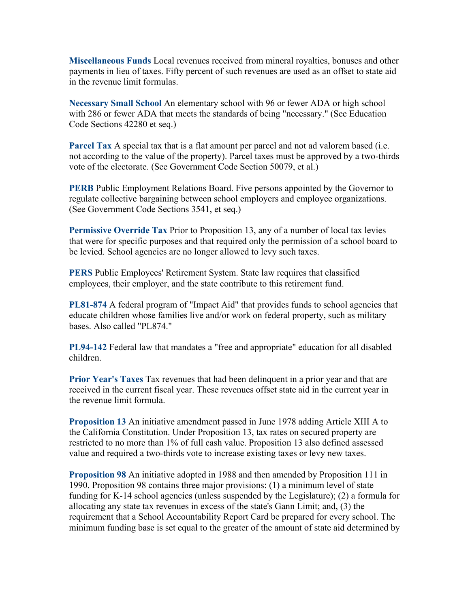**Miscellaneous Funds** Local revenues received from mineral royalties, bonuses and other payments in lieu of taxes. Fifty percent of such revenues are used as an offset to state aid in the revenue limit formulas.

**Necessary Small School** An elementary school with 96 or fewer ADA or high school with 286 or fewer ADA that meets the standards of being "necessary." (See Education Code Sections 42280 et seq.)

**Parcel Tax** A special tax that is a flat amount per parcel and not ad valorem based (i.e. not according to the value of the property). Parcel taxes must be approved by a two-thirds vote of the electorate. (See Government Code Section 50079, et al.)

**PERB** Public Employment Relations Board. Five persons appointed by the Governor to regulate collective bargaining between school employers and employee organizations. (See Government Code Sections 3541, et seq.)

**Permissive Override Tax** Prior to Proposition 13, any of a number of local tax levies that were for specific purposes and that required only the permission of a school board to be levied. School agencies are no longer allowed to levy such taxes.

**PERS** Public Employees' Retirement System. State law requires that classified employees, their employer, and the state contribute to this retirement fund.

**PL81-874** A federal program of "Impact Aid" that provides funds to school agencies that educate children whose families live and/or work on federal property, such as military bases. Also called "PL874."

**PL94-142** Federal law that mandates a "free and appropriate" education for all disabled children.

**Prior Year's Taxes** Tax revenues that had been delinquent in a prior year and that are received in the current fiscal year. These revenues offset state aid in the current year in the revenue limit formula.

**Proposition 13** An initiative amendment passed in June 1978 adding Article XIII A to the California Constitution. Under Proposition 13, tax rates on secured property are restricted to no more than 1% of full cash value. Proposition 13 also defined assessed value and required a two-thirds vote to increase existing taxes or levy new taxes.

**Proposition 98** An initiative adopted in 1988 and then amended by Proposition 111 in 1990. Proposition 98 contains three major provisions: (1) a minimum level of state funding for K-14 school agencies (unless suspended by the Legislature); (2) a formula for allocating any state tax revenues in excess of the state's Gann Limit; and, (3) the requirement that a School Accountability Report Card be prepared for every school. The minimum funding base is set equal to the greater of the amount of state aid determined by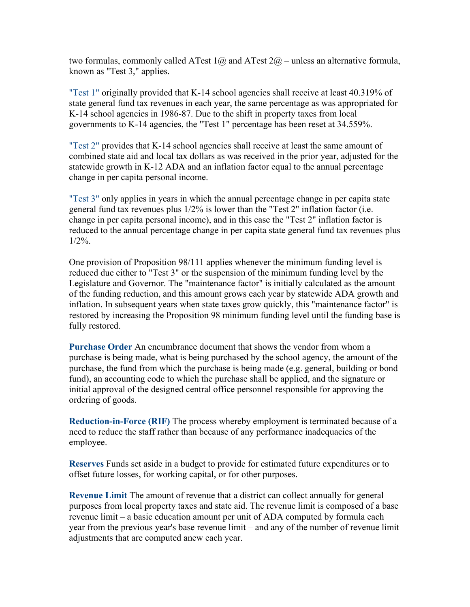two formulas, commonly called ATest  $1\omega$  and ATest  $2\omega$  – unless an alternative formula, known as "Test 3," applies.

"Test 1" originally provided that K-14 school agencies shall receive at least 40.319% of state general fund tax revenues in each year, the same percentage as was appropriated for K-14 school agencies in 1986-87. Due to the shift in property taxes from local governments to K-14 agencies, the "Test 1" percentage has been reset at 34.559%.

"Test 2" provides that K-14 school agencies shall receive at least the same amount of combined state aid and local tax dollars as was received in the prior year, adjusted for the statewide growth in K-12 ADA and an inflation factor equal to the annual percentage change in per capita personal income.

"Test 3" only applies in years in which the annual percentage change in per capita state general fund tax revenues plus 1/2% is lower than the "Test 2" inflation factor (i.e. change in per capita personal income), and in this case the "Test 2" inflation factor is reduced to the annual percentage change in per capita state general fund tax revenues plus  $1/2\%$ .

One provision of Proposition 98/111 applies whenever the minimum funding level is reduced due either to "Test 3" or the suspension of the minimum funding level by the Legislature and Governor. The "maintenance factor" is initially calculated as the amount of the funding reduction, and this amount grows each year by statewide ADA growth and inflation. In subsequent years when state taxes grow quickly, this "maintenance factor" is restored by increasing the Proposition 98 minimum funding level until the funding base is fully restored.

**Purchase Order** An encumbrance document that shows the vendor from whom a purchase is being made, what is being purchased by the school agency, the amount of the purchase, the fund from which the purchase is being made (e.g. general, building or bond fund), an accounting code to which the purchase shall be applied, and the signature or initial approval of the designed central office personnel responsible for approving the ordering of goods.

**Reduction-in-Force (RIF)** The process whereby employment is terminated because of a need to reduce the staff rather than because of any performance inadequacies of the employee.

**Reserves** Funds set aside in a budget to provide for estimated future expenditures or to offset future losses, for working capital, or for other purposes.

**Revenue Limit** The amount of revenue that a district can collect annually for general purposes from local property taxes and state aid. The revenue limit is composed of a base revenue limit – a basic education amount per unit of ADA computed by formula each year from the previous year's base revenue limit – and any of the number of revenue limit adjustments that are computed anew each year.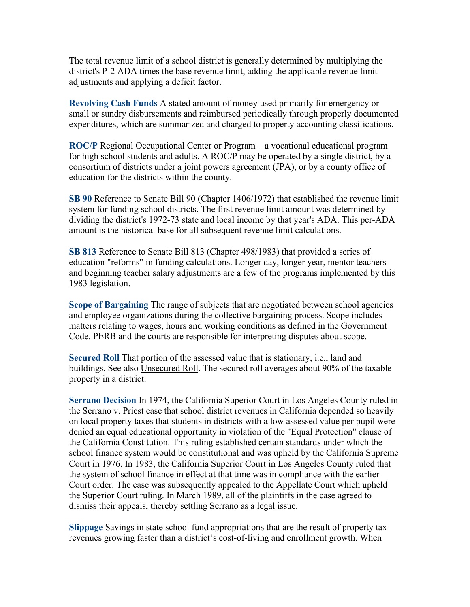The total revenue limit of a school district is generally determined by multiplying the district's P-2 ADA times the base revenue limit, adding the applicable revenue limit adjustments and applying a deficit factor.

**Revolving Cash Funds** A stated amount of money used primarily for emergency or small or sundry disbursements and reimbursed periodically through properly documented expenditures, which are summarized and charged to property accounting classifications.

**ROC/P** Regional Occupational Center or Program – a vocational educational program for high school students and adults. A ROC/P may be operated by a single district, by a consortium of districts under a joint powers agreement (JPA), or by a county office of education for the districts within the county.

**SB 90** Reference to Senate Bill 90 (Chapter 1406/1972) that established the revenue limit system for funding school districts. The first revenue limit amount was determined by dividing the district's 1972-73 state and local income by that year's ADA. This per-ADA amount is the historical base for all subsequent revenue limit calculations.

**SB 813** Reference to Senate Bill 813 (Chapter 498/1983) that provided a series of education "reforms" in funding calculations. Longer day, longer year, mentor teachers and beginning teacher salary adjustments are a few of the programs implemented by this 1983 legislation.

**Scope of Bargaining** The range of subjects that are negotiated between school agencies and employee organizations during the collective bargaining process. Scope includes matters relating to wages, hours and working conditions as defined in the Government Code. PERB and the courts are responsible for interpreting disputes about scope.

**Secured Roll** That portion of the assessed value that is stationary, i.e., land and buildings. See also Unsecured Roll. The secured roll averages about 90% of the taxable property in a district.

**Serrano Decision** In 1974, the California Superior Court in Los Angeles County ruled in the Serrano v. Priest case that school district revenues in California depended so heavily on local property taxes that students in districts with a low assessed value per pupil were denied an equal educational opportunity in violation of the "Equal Protection" clause of the California Constitution. This ruling established certain standards under which the school finance system would be constitutional and was upheld by the California Supreme Court in 1976. In 1983, the California Superior Court in Los Angeles County ruled that the system of school finance in effect at that time was in compliance with the earlier Court order. The case was subsequently appealed to the Appellate Court which upheld the Superior Court ruling. In March 1989, all of the plaintiffs in the case agreed to dismiss their appeals, thereby settling Serrano as a legal issue.

**Slippage** Savings in state school fund appropriations that are the result of property tax revenues growing faster than a district's cost-of-living and enrollment growth. When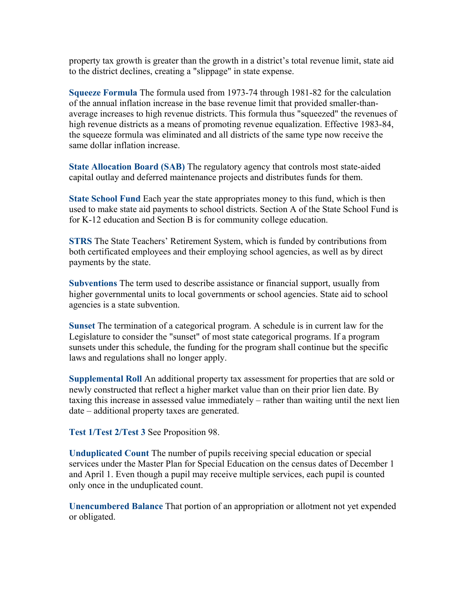property tax growth is greater than the growth in a district's total revenue limit, state aid to the district declines, creating a "slippage" in state expense.

**Squeeze Formula** The formula used from 1973-74 through 1981-82 for the calculation of the annual inflation increase in the base revenue limit that provided smaller-thanaverage increases to high revenue districts. This formula thus "squeezed" the revenues of high revenue districts as a means of promoting revenue equalization. Effective 1983-84, the squeeze formula was eliminated and all districts of the same type now receive the same dollar inflation increase.

**State Allocation Board (SAB)** The regulatory agency that controls most state-aided capital outlay and deferred maintenance projects and distributes funds for them.

**State School Fund** Each year the state appropriates money to this fund, which is then used to make state aid payments to school districts. Section A of the State School Fund is for K-12 education and Section B is for community college education.

**STRS** The State Teachers' Retirement System, which is funded by contributions from both certificated employees and their employing school agencies, as well as by direct payments by the state.

**Subventions** The term used to describe assistance or financial support, usually from higher governmental units to local governments or school agencies. State aid to school agencies is a state subvention.

**Sunset** The termination of a categorical program. A schedule is in current law for the Legislature to consider the "sunset" of most state categorical programs. If a program sunsets under this schedule, the funding for the program shall continue but the specific laws and regulations shall no longer apply.

**Supplemental Roll** An additional property tax assessment for properties that are sold or newly constructed that reflect a higher market value than on their prior lien date. By taxing this increase in assessed value immediately – rather than waiting until the next lien date – additional property taxes are generated.

**Test 1/Test 2/Test 3** See Proposition 98.

**Unduplicated Count** The number of pupils receiving special education or special services under the Master Plan for Special Education on the census dates of December 1 and April 1. Even though a pupil may receive multiple services, each pupil is counted only once in the unduplicated count.

**Unencumbered Balance** That portion of an appropriation or allotment not yet expended or obligated.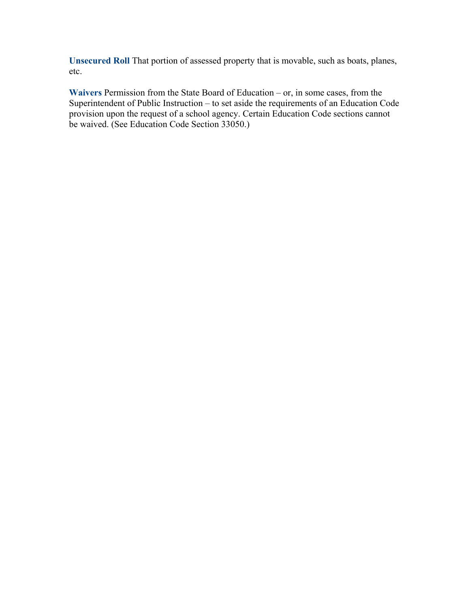**Unsecured Roll** That portion of assessed property that is movable, such as boats, planes, etc.

**Waivers** Permission from the State Board of Education – or, in some cases, from the Superintendent of Public Instruction – to set aside the requirements of an Education Code provision upon the request of a school agency. Certain Education Code sections cannot be waived. (See Education Code Section 33050.)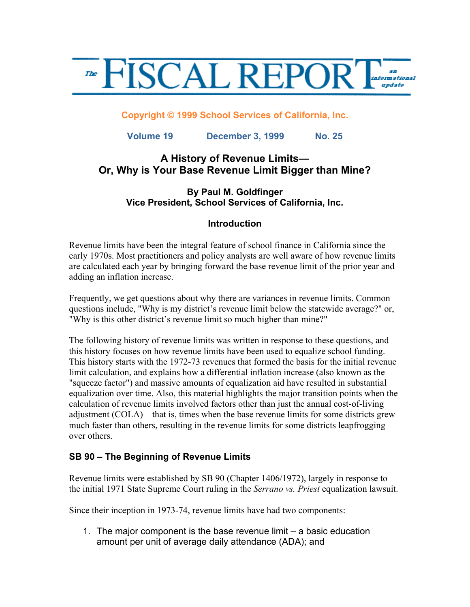

#### **Copyright © 1999 School Services of California, Inc.**

**Volume 19 December 3, 1999 No. 25**

## **A History of Revenue Limits— Or, Why is Your Base Revenue Limit Bigger than Mine?**

### **By Paul M. Goldfinger Vice President, School Services of California, Inc.**

### **Introduction**

Revenue limits have been the integral feature of school finance in California since the early 1970s. Most practitioners and policy analysts are well aware of how revenue limits are calculated each year by bringing forward the base revenue limit of the prior year and adding an inflation increase.

Frequently, we get questions about why there are variances in revenue limits. Common questions include, "Why is my district's revenue limit below the statewide average?" or, "Why is this other district's revenue limit so much higher than mine?"

The following history of revenue limits was written in response to these questions, and this history focuses on how revenue limits have been used to equalize school funding. This history starts with the 1972-73 revenues that formed the basis for the initial revenue limit calculation, and explains how a differential inflation increase (also known as the "squeeze factor") and massive amounts of equalization aid have resulted in substantial equalization over time. Also, this material highlights the major transition points when the calculation of revenue limits involved factors other than just the annual cost-of-living adjustment (COLA) – that is, times when the base revenue limits for some districts grew much faster than others, resulting in the revenue limits for some districts leapfrogging over others.

### **SB 90 – The Beginning of Revenue Limits**

Revenue limits were established by SB 90 (Chapter 1406/1972), largely in response to the initial 1971 State Supreme Court ruling in the *Serrano vs. Priest* equalization lawsuit.

Since their inception in 1973-74, revenue limits have had two components:

1. The major component is the base revenue limit – a basic education amount per unit of average daily attendance (ADA); and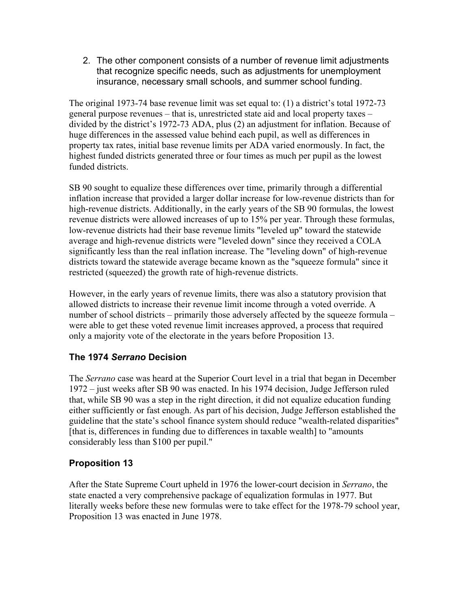2. The other component consists of a number of revenue limit adjustments that recognize specific needs, such as adjustments for unemployment insurance, necessary small schools, and summer school funding.

The original 1973-74 base revenue limit was set equal to: (1) a district's total 1972-73 general purpose revenues – that is, unrestricted state aid and local property taxes – divided by the district's 1972-73 ADA, plus (2) an adjustment for inflation. Because of huge differences in the assessed value behind each pupil, as well as differences in property tax rates, initial base revenue limits per ADA varied enormously. In fact, the highest funded districts generated three or four times as much per pupil as the lowest funded districts.

SB 90 sought to equalize these differences over time, primarily through a differential inflation increase that provided a larger dollar increase for low-revenue districts than for high-revenue districts. Additionally, in the early years of the SB 90 formulas, the lowest revenue districts were allowed increases of up to 15% per year. Through these formulas, low-revenue districts had their base revenue limits "leveled up" toward the statewide average and high-revenue districts were "leveled down" since they received a COLA significantly less than the real inflation increase. The "leveling down" of high-revenue districts toward the statewide average became known as the "squeeze formula" since it restricted (squeezed) the growth rate of high-revenue districts.

However, in the early years of revenue limits, there was also a statutory provision that allowed districts to increase their revenue limit income through a voted override. A number of school districts – primarily those adversely affected by the squeeze formula – were able to get these voted revenue limit increases approved, a process that required only a majority vote of the electorate in the years before Proposition 13.

# **The 1974** *Serrano* **Decision**

The *Serrano* case was heard at the Superior Court level in a trial that began in December 1972 – just weeks after SB 90 was enacted. In his 1974 decision, Judge Jefferson ruled that, while SB 90 was a step in the right direction, it did not equalize education funding either sufficiently or fast enough. As part of his decision, Judge Jefferson established the guideline that the state's school finance system should reduce "wealth-related disparities" [that is, differences in funding due to differences in taxable wealth] to "amounts" considerably less than \$100 per pupil."

# **Proposition 13**

After the State Supreme Court upheld in 1976 the lower-court decision in *Serrano*, the state enacted a very comprehensive package of equalization formulas in 1977. But literally weeks before these new formulas were to take effect for the 1978-79 school year, Proposition 13 was enacted in June 1978.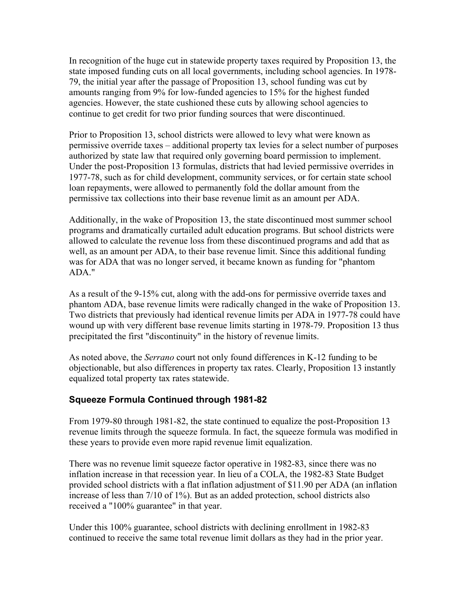In recognition of the huge cut in statewide property taxes required by Proposition 13, the state imposed funding cuts on all local governments, including school agencies. In 1978- 79, the initial year after the passage of Proposition 13, school funding was cut by amounts ranging from 9% for low-funded agencies to 15% for the highest funded agencies. However, the state cushioned these cuts by allowing school agencies to continue to get credit for two prior funding sources that were discontinued.

Prior to Proposition 13, school districts were allowed to levy what were known as permissive override taxes – additional property tax levies for a select number of purposes authorized by state law that required only governing board permission to implement. Under the post-Proposition 13 formulas, districts that had levied permissive overrides in 1977-78, such as for child development, community services, or for certain state school loan repayments, were allowed to permanently fold the dollar amount from the permissive tax collections into their base revenue limit as an amount per ADA.

Additionally, in the wake of Proposition 13, the state discontinued most summer school programs and dramatically curtailed adult education programs. But school districts were allowed to calculate the revenue loss from these discontinued programs and add that as well, as an amount per ADA, to their base revenue limit. Since this additional funding was for ADA that was no longer served, it became known as funding for "phantom ADA."

As a result of the 9-15% cut, along with the add-ons for permissive override taxes and phantom ADA, base revenue limits were radically changed in the wake of Proposition 13. Two districts that previously had identical revenue limits per ADA in 1977-78 could have wound up with very different base revenue limits starting in 1978-79. Proposition 13 thus precipitated the first "discontinuity" in the history of revenue limits.

As noted above, the *Serrano* court not only found differences in K-12 funding to be objectionable, but also differences in property tax rates. Clearly, Proposition 13 instantly equalized total property tax rates statewide.

## **Squeeze Formula Continued through 1981-82**

From 1979-80 through 1981-82, the state continued to equalize the post-Proposition 13 revenue limits through the squeeze formula. In fact, the squeeze formula was modified in these years to provide even more rapid revenue limit equalization.

There was no revenue limit squeeze factor operative in 1982-83, since there was no inflation increase in that recession year. In lieu of a COLA, the 1982-83 State Budget provided school districts with a flat inflation adjustment of \$11.90 per ADA (an inflation increase of less than 7/10 of 1%). But as an added protection, school districts also received a "100% guarantee" in that year.

Under this 100% guarantee, school districts with declining enrollment in 1982-83 continued to receive the same total revenue limit dollars as they had in the prior year.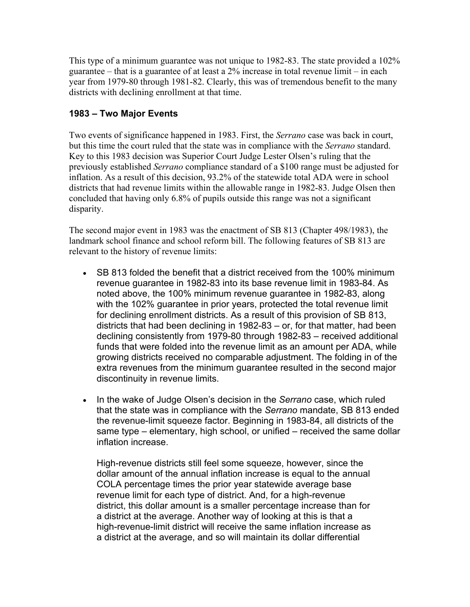This type of a minimum guarantee was not unique to 1982-83. The state provided a 102% guarantee – that is a guarantee of at least a 2% increase in total revenue limit – in each year from 1979-80 through 1981-82. Clearly, this was of tremendous benefit to the many districts with declining enrollment at that time.

# **1983 – Two Major Events**

Two events of significance happened in 1983. First, the *Serrano* case was back in court, but this time the court ruled that the state was in compliance with the *Serrano* standard. Key to this 1983 decision was Superior Court Judge Lester Olsen's ruling that the previously established *Serrano* compliance standard of a \$100 range must be adjusted for inflation. As a result of this decision, 93.2% of the statewide total ADA were in school districts that had revenue limits within the allowable range in 1982-83. Judge Olsen then concluded that having only 6.8% of pupils outside this range was not a significant disparity.

The second major event in 1983 was the enactment of SB 813 (Chapter 498/1983), the landmark school finance and school reform bill. The following features of SB 813 are relevant to the history of revenue limits:

- SB 813 folded the benefit that a district received from the 100% minimum revenue guarantee in 1982-83 into its base revenue limit in 1983-84. As noted above, the 100% minimum revenue guarantee in 1982-83, along with the 102% guarantee in prior years, protected the total revenue limit for declining enrollment districts. As a result of this provision of SB 813, districts that had been declining in 1982-83 – or, for that matter, had been declining consistently from 1979-80 through 1982-83 – received additional funds that were folded into the revenue limit as an amount per ADA, while growing districts received no comparable adjustment. The folding in of the extra revenues from the minimum guarantee resulted in the second major discontinuity in revenue limits.
- In the wake of Judge Olsen's decision in the *Serrano* case, which ruled that the state was in compliance with the *Serrano* mandate, SB 813 ended the revenue-limit squeeze factor. Beginning in 1983-84, all districts of the same type – elementary, high school, or unified – received the same dollar inflation increase.

High-revenue districts still feel some squeeze, however, since the dollar amount of the annual inflation increase is equal to the annual COLA percentage times the prior year statewide average base revenue limit for each type of district. And, for a high-revenue district, this dollar amount is a smaller percentage increase than for a district at the average. Another way of looking at this is that a high-revenue-limit district will receive the same inflation increase as a district at the average, and so will maintain its dollar differential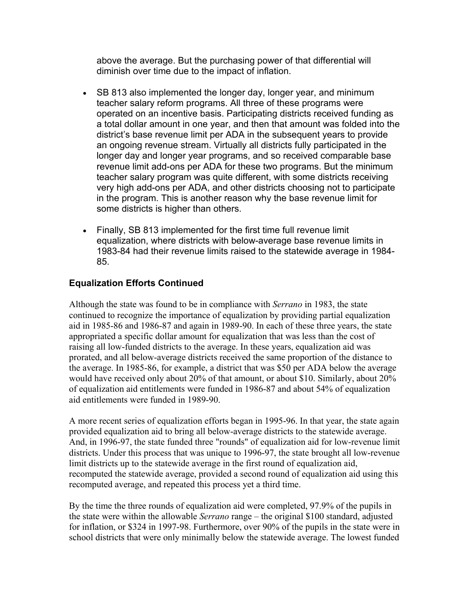above the average. But the purchasing power of that differential will diminish over time due to the impact of inflation.

- SB 813 also implemented the longer day, longer year, and minimum teacher salary reform programs. All three of these programs were operated on an incentive basis. Participating districts received funding as a total dollar amount in one year, and then that amount was folded into the district's base revenue limit per ADA in the subsequent years to provide an ongoing revenue stream. Virtually all districts fully participated in the longer day and longer year programs, and so received comparable base revenue limit add-ons per ADA for these two programs. But the minimum teacher salary program was quite different, with some districts receiving very high add-ons per ADA, and other districts choosing not to participate in the program. This is another reason why the base revenue limit for some districts is higher than others.
- Finally, SB 813 implemented for the first time full revenue limit equalization, where districts with below-average base revenue limits in 1983-84 had their revenue limits raised to the statewide average in 1984- 85.

## **Equalization Efforts Continued**

Although the state was found to be in compliance with *Serrano* in 1983, the state continued to recognize the importance of equalization by providing partial equalization aid in 1985-86 and 1986-87 and again in 1989-90. In each of these three years, the state appropriated a specific dollar amount for equalization that was less than the cost of raising all low-funded districts to the average. In these years, equalization aid was prorated, and all below-average districts received the same proportion of the distance to the average. In 1985-86, for example, a district that was \$50 per ADA below the average would have received only about 20% of that amount, or about \$10. Similarly, about 20% of equalization aid entitlements were funded in 1986-87 and about 54% of equalization aid entitlements were funded in 1989-90.

A more recent series of equalization efforts began in 1995-96. In that year, the state again provided equalization aid to bring all below-average districts to the statewide average. And, in 1996-97, the state funded three "rounds" of equalization aid for low-revenue limit districts. Under this process that was unique to 1996-97, the state brought all low-revenue limit districts up to the statewide average in the first round of equalization aid, recomputed the statewide average, provided a second round of equalization aid using this recomputed average, and repeated this process yet a third time.

By the time the three rounds of equalization aid were completed, 97.9% of the pupils in the state were within the allowable *Serrano* range – the original \$100 standard, adjusted for inflation, or \$324 in 1997-98. Furthermore, over 90% of the pupils in the state were in school districts that were only minimally below the statewide average. The lowest funded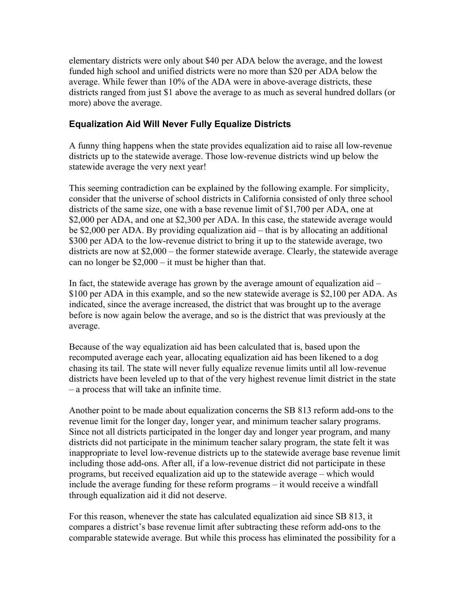elementary districts were only about \$40 per ADA below the average, and the lowest funded high school and unified districts were no more than \$20 per ADA below the average. While fewer than 10% of the ADA were in above-average districts, these districts ranged from just \$1 above the average to as much as several hundred dollars (or more) above the average.

### **Equalization Aid Will Never Fully Equalize Districts**

A funny thing happens when the state provides equalization aid to raise all low-revenue districts up to the statewide average. Those low-revenue districts wind up below the statewide average the very next year!

This seeming contradiction can be explained by the following example. For simplicity, consider that the universe of school districts in California consisted of only three school districts of the same size, one with a base revenue limit of \$1,700 per ADA, one at \$2,000 per ADA, and one at \$2,300 per ADA. In this case, the statewide average would be \$2,000 per ADA. By providing equalization aid – that is by allocating an additional \$300 per ADA to the low-revenue district to bring it up to the statewide average, two districts are now at \$2,000 – the former statewide average. Clearly, the statewide average can no longer be \$2,000 – it must be higher than that.

In fact, the statewide average has grown by the average amount of equalization aid – \$100 per ADA in this example, and so the new statewide average is \$2,100 per ADA. As indicated, since the average increased, the district that was brought up to the average before is now again below the average, and so is the district that was previously at the average.

Because of the way equalization aid has been calculated that is, based upon the recomputed average each year, allocating equalization aid has been likened to a dog chasing its tail. The state will never fully equalize revenue limits until all low-revenue districts have been leveled up to that of the very highest revenue limit district in the state – a process that will take an infinite time.

Another point to be made about equalization concerns the SB 813 reform add-ons to the revenue limit for the longer day, longer year, and minimum teacher salary programs. Since not all districts participated in the longer day and longer year program, and many districts did not participate in the minimum teacher salary program, the state felt it was inappropriate to level low-revenue districts up to the statewide average base revenue limit including those add-ons. After all, if a low-revenue district did not participate in these programs, but received equalization aid up to the statewide average – which would include the average funding for these reform programs – it would receive a windfall through equalization aid it did not deserve.

For this reason, whenever the state has calculated equalization aid since SB 813, it compares a district's base revenue limit after subtracting these reform add-ons to the comparable statewide average. But while this process has eliminated the possibility for a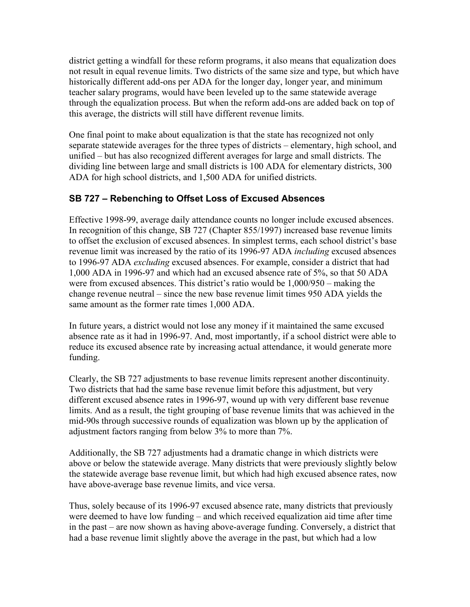district getting a windfall for these reform programs, it also means that equalization does not result in equal revenue limits. Two districts of the same size and type, but which have historically different add-ons per ADA for the longer day, longer year, and minimum teacher salary programs, would have been leveled up to the same statewide average through the equalization process. But when the reform add-ons are added back on top of this average, the districts will still have different revenue limits.

One final point to make about equalization is that the state has recognized not only separate statewide averages for the three types of districts – elementary, high school, and unified – but has also recognized different averages for large and small districts. The dividing line between large and small districts is 100 ADA for elementary districts, 300 ADA for high school districts, and 1,500 ADA for unified districts.

# **SB 727 – Rebenching to Offset Loss of Excused Absences**

Effective 1998-99, average daily attendance counts no longer include excused absences. In recognition of this change, SB 727 (Chapter 855/1997) increased base revenue limits to offset the exclusion of excused absences. In simplest terms, each school district's base revenue limit was increased by the ratio of its 1996-97 ADA *including* excused absences to 1996-97 ADA *excluding* excused absences. For example, consider a district that had 1,000 ADA in 1996-97 and which had an excused absence rate of 5%, so that 50 ADA were from excused absences. This district's ratio would be 1,000/950 – making the change revenue neutral – since the new base revenue limit times 950 ADA yields the same amount as the former rate times 1,000 ADA.

In future years, a district would not lose any money if it maintained the same excused absence rate as it had in 1996-97. And, most importantly, if a school district were able to reduce its excused absence rate by increasing actual attendance, it would generate more funding.

Clearly, the SB 727 adjustments to base revenue limits represent another discontinuity. Two districts that had the same base revenue limit before this adjustment, but very different excused absence rates in 1996-97, wound up with very different base revenue limits. And as a result, the tight grouping of base revenue limits that was achieved in the mid-90s through successive rounds of equalization was blown up by the application of adjustment factors ranging from below 3% to more than 7%.

Additionally, the SB 727 adjustments had a dramatic change in which districts were above or below the statewide average. Many districts that were previously slightly below the statewide average base revenue limit, but which had high excused absence rates, now have above-average base revenue limits, and vice versa.

Thus, solely because of its 1996-97 excused absence rate, many districts that previously were deemed to have low funding – and which received equalization aid time after time in the past – are now shown as having above-average funding. Conversely, a district that had a base revenue limit slightly above the average in the past, but which had a low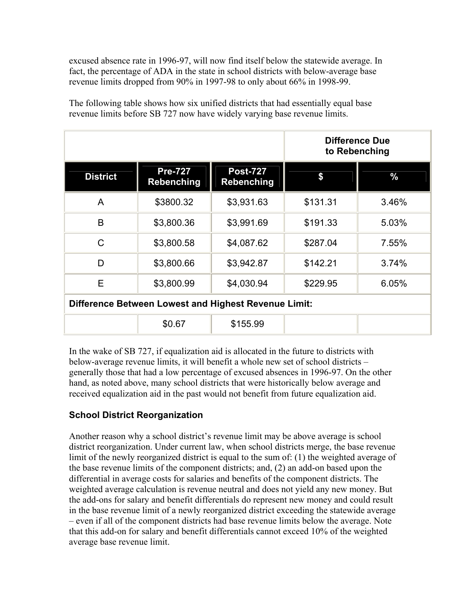excused absence rate in 1996-97, will now find itself below the statewide average. In fact, the percentage of ADA in the state in school districts with below-average base revenue limits dropped from 90% in 1997-98 to only about 66% in 1998-99.

The following table shows how six unified districts that had essentially equal base revenue limits before SB 727 now have widely varying base revenue limits.

|                                                             |                                     | Difference Due<br>to Rebenching      |          |       |  |  |
|-------------------------------------------------------------|-------------------------------------|--------------------------------------|----------|-------|--|--|
| <b>District</b>                                             | <b>Pre-727</b><br><b>Rebenching</b> | <b>Post-727</b><br><b>Rebenching</b> | \$       | $\%$  |  |  |
| A                                                           | \$3800.32                           | \$3,931.63                           | \$131.31 | 3.46% |  |  |
| B                                                           | \$3,800.36                          | \$3,991.69                           | \$191.33 | 5.03% |  |  |
| $\mathsf{C}$                                                | \$3,800.58                          | \$4,087.62                           | \$287.04 | 7.55% |  |  |
| D                                                           | \$3,800.66                          | \$3,942.87                           | \$142.21 | 3.74% |  |  |
| E                                                           | \$3,800.99                          | \$4,030.94                           | \$229.95 | 6.05% |  |  |
| <b>Difference Between Lowest and Highest Revenue Limit:</b> |                                     |                                      |          |       |  |  |
|                                                             | \$0.67                              | \$155.99                             |          |       |  |  |

In the wake of SB 727, if equalization aid is allocated in the future to districts with below-average revenue limits, it will benefit a whole new set of school districts – generally those that had a low percentage of excused absences in 1996-97. On the other hand, as noted above, many school districts that were historically below average and received equalization aid in the past would not benefit from future equalization aid.

# **School District Reorganization**

Another reason why a school district's revenue limit may be above average is school district reorganization. Under current law, when school districts merge, the base revenue limit of the newly reorganized district is equal to the sum of: (1) the weighted average of the base revenue limits of the component districts; and, (2) an add-on based upon the differential in average costs for salaries and benefits of the component districts. The weighted average calculation is revenue neutral and does not yield any new money. But the add-ons for salary and benefit differentials do represent new money and could result in the base revenue limit of a newly reorganized district exceeding the statewide average – even if all of the component districts had base revenue limits below the average. Note that this add-on for salary and benefit differentials cannot exceed 10% of the weighted average base revenue limit.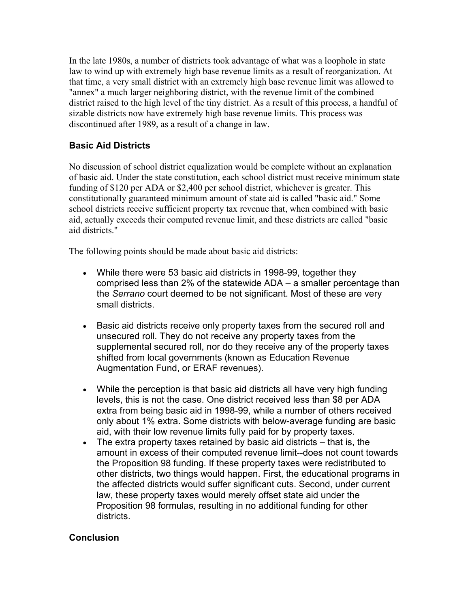In the late 1980s, a number of districts took advantage of what was a loophole in state law to wind up with extremely high base revenue limits as a result of reorganization. At that time, a very small district with an extremely high base revenue limit was allowed to "annex" a much larger neighboring district, with the revenue limit of the combined district raised to the high level of the tiny district. As a result of this process, a handful of sizable districts now have extremely high base revenue limits. This process was discontinued after 1989, as a result of a change in law.

# **Basic Aid Districts**

No discussion of school district equalization would be complete without an explanation of basic aid. Under the state constitution, each school district must receive minimum state funding of \$120 per ADA or \$2,400 per school district, whichever is greater. This constitutionally guaranteed minimum amount of state aid is called "basic aid." Some school districts receive sufficient property tax revenue that, when combined with basic aid, actually exceeds their computed revenue limit, and these districts are called "basic aid districts."

The following points should be made about basic aid districts:

- While there were 53 basic aid districts in 1998-99, together they comprised less than 2% of the statewide ADA – a smaller percentage than the *Serrano* court deemed to be not significant. Most of these are very small districts.
- Basic aid districts receive only property taxes from the secured roll and unsecured roll. They do not receive any property taxes from the supplemental secured roll, nor do they receive any of the property taxes shifted from local governments (known as Education Revenue Augmentation Fund, or ERAF revenues).
- While the perception is that basic aid districts all have very high funding levels, this is not the case. One district received less than \$8 per ADA extra from being basic aid in 1998-99, while a number of others received only about 1% extra. Some districts with below-average funding are basic aid, with their low revenue limits fully paid for by property taxes.
- The extra property taxes retained by basic aid districts that is, the amount in excess of their computed revenue limit--does not count towards the Proposition 98 funding. If these property taxes were redistributed to other districts, two things would happen. First, the educational programs in the affected districts would suffer significant cuts. Second, under current law, these property taxes would merely offset state aid under the Proposition 98 formulas, resulting in no additional funding for other districts.

## **Conclusion**